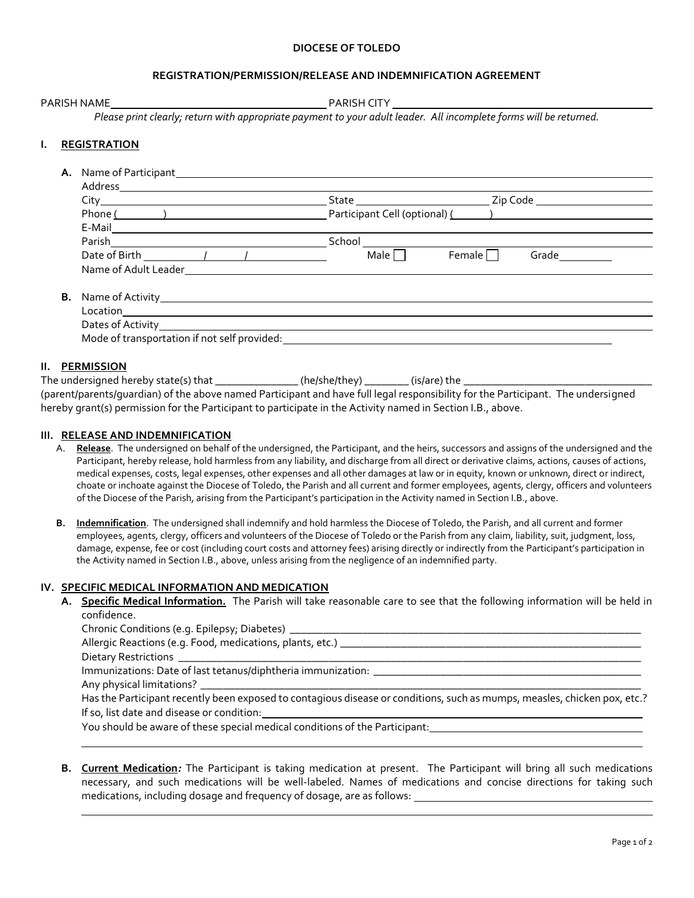#### **DIOCESE OF TOLEDO**

# **REGISTRATION/PERMISSION/RELEASE AND INDEMNIFICATION AGREEMENT**

| <b>PARISH NAME</b> |  |
|--------------------|--|
|                    |  |

PARISH CITY

*Please print clearly; return with appropriate payment to your adult leader. All incomplete forms will be returned.*

# **I. REGISTRATION**

| А.        | Name of Participant<br><u>Landon Manuel Annuncipal</u>                                    |        |                                 |  |
|-----------|-------------------------------------------------------------------------------------------|--------|---------------------------------|--|
|           |                                                                                           |        |                                 |  |
|           |                                                                                           |        | Zip Code                        |  |
|           |                                                                                           |        | Participant Cell (optional) ( ) |  |
|           | E-Mail_______________________                                                             |        |                                 |  |
|           |                                                                                           | School |                                 |  |
|           | Date of Birth 1 1                                                                         | Male I | Female  <br>Grade               |  |
|           | Name of Adult Leader                                                                      |        |                                 |  |
| <b>B.</b> |                                                                                           |        |                                 |  |
|           |                                                                                           |        |                                 |  |
|           |                                                                                           |        |                                 |  |
|           | Mode of transportation if not self provided: Notified and the self and the self provided: |        |                                 |  |
|           |                                                                                           |        |                                 |  |

### **II. PERMISSION**

The undersigned hereby state(s) that \_\_\_\_\_\_\_\_\_\_\_\_\_\_\_\_\_\_(he/she/they) \_\_\_\_\_\_\_\_\_(is/are) the  $\Box$ (parent/parents/guardian) of the above named Participant and have full legal responsibility for the Participant. The undersigned hereby grant(s) permission for the Participant to participate in the Activity named in Section I.B., above.

#### **III. RELEASE AND INDEMNIFICATION**

- A. **Release**. The undersigned on behalf of the undersigned, the Participant, and the heirs, successors and assigns of the undersigned and the Participant, hereby release, hold harmless from any liability, and discharge from all direct or derivative claims, actions, causes of actions, medical expenses, costs, legal expenses, other expenses and all other damages at law or in equity, known or unknown, direct or indirect, choate or inchoate against the Diocese of Toledo, the Parish and all current and former employees, agents, clergy, officers and volunteers of the Diocese of the Parish, arising from the Participant's participation in the Activity named in Section I.B., above.
- **B. Indemnification**. The undersigned shall indemnify and hold harmless the Diocese of Toledo, the Parish, and all current and former employees, agents, clergy, officers and volunteers of the Diocese of Toledo or the Parish from any claim, liability, suit, judgment, loss, damage, expense, fee or cost (including court costs and attorney fees) arising directly or indirectly from the Participant's participation in the Activity named in Section I.B., above, unless arising from the negligence of an indemnified party.

#### **IV. SPECIFIC MEDICAL INFORMATION AND MEDICATION**

**A. Specific Medical Information.** The Parish will take reasonable care to see that the following information will be held in confidence.

Chronic Conditions (e.g. Epilepsy; Diabetes) \_\_\_\_\_\_\_\_\_\_\_\_\_\_\_\_\_\_\_\_\_\_\_\_\_\_\_\_\_\_\_\_\_\_\_\_\_\_\_\_\_\_\_\_\_\_\_\_\_\_\_\_\_\_\_\_\_\_\_\_\_\_\_

Allergic Reactions (e.g. Food, medications, plants, etc.) \_\_\_\_\_\_\_\_\_\_\_\_\_\_\_\_\_\_\_\_\_\_\_

Dietary Restrictions

Immunizations: Date of last tetanus/diphtheria immunization: \_\_\_\_\_\_\_\_\_\_\_\_\_\_\_\_\_\_\_

Any physical limitations?

Has the Participant recently been exposed to contagious disease or conditions, such as mumps, measles, chicken pox, etc.? If so, list date and disease or condition:

You should be aware of these special medical conditions of the Participant:

**B. Current Medication***:* The Participant is taking medication at present. The Participant will bring all such medications necessary, and such medications will be well-labeled. Names of medications and concise directions for taking such medications, including dosage and frequency of dosage, are as follows: